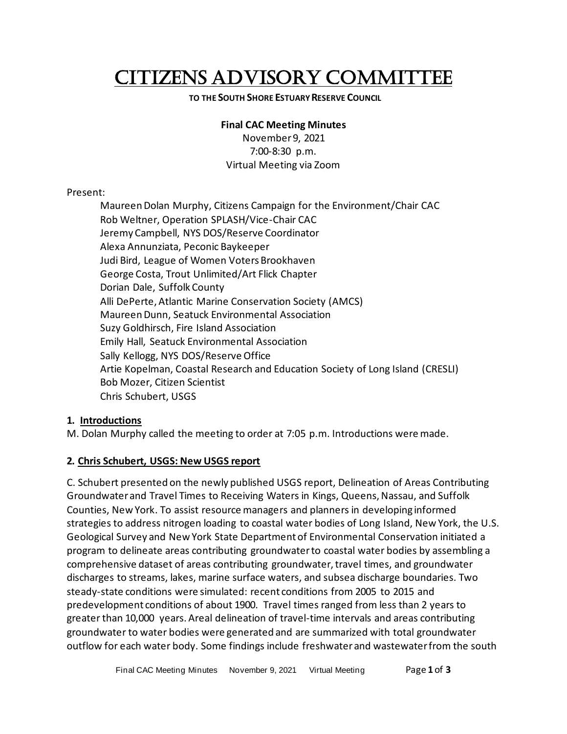# CITIZENS ADVISORY COMMITTEE

#### **TO THE SOUTH SHORE ESTUARY RESERVE COUNCIL**

#### **Final CAC Meeting Minutes**

November 9, 2021 7:00-8:30 p.m. Virtual Meeting via Zoom

### Present:

Maureen Dolan Murphy, Citizens Campaign for the Environment/Chair CAC Rob Weltner, Operation SPLASH/Vice-Chair CAC Jeremy Campbell, NYS DOS/Reserve Coordinator Alexa Annunziata, Peconic Baykeeper Judi Bird, League of Women Voters Brookhaven George Costa, Trout Unlimited/Art Flick Chapter Dorian Dale, Suffolk County Alli DePerte, Atlantic Marine Conservation Society (AMCS) Maureen Dunn, Seatuck Environmental Association Suzy Goldhirsch, Fire Island Association Emily Hall, Seatuck Environmental Association Sally Kellogg, NYS DOS/Reserve Office Artie Kopelman, Coastal Research and Education Society of Long Island (CRESLI) Bob Mozer, Citizen Scientist Chris Schubert, USGS

# **1. Introductions**

M. Dolan Murphy called the meeting to order at 7:05 p.m. Introductions were made.

# **2. Chris Schubert, USGS: New USGS report**

C. Schubert presented on the newly published USGS report, Delineation of Areas Contributing Groundwater and Travel Times to Receiving Waters in Kings, Queens, Nassau, and Suffolk Counties, New York. To assist resource managers and planners in developing informed strategies to address nitrogen loading to coastal water bodies of Long Island, New York, the U.S. Geological Survey and New York State Department of Environmental Conservation initiated a program to delineate areas contributing groundwater to coastal water bodies by assembling a comprehensive dataset of areas contributing groundwater, travel times, and groundwater discharges to streams, lakes, marine surface waters, and subsea discharge boundaries. Two steady-state conditions were simulated: recent conditions from 2005 to 2015 and predevelopment conditions of about 1900. Travel times ranged from less than 2 years to greater than 10,000 years. Areal delineation of travel-time intervals and areas contributing groundwater to water bodies were generated and are summarized with total groundwater outflow for each water body. Some findings include freshwater and wastewater from the south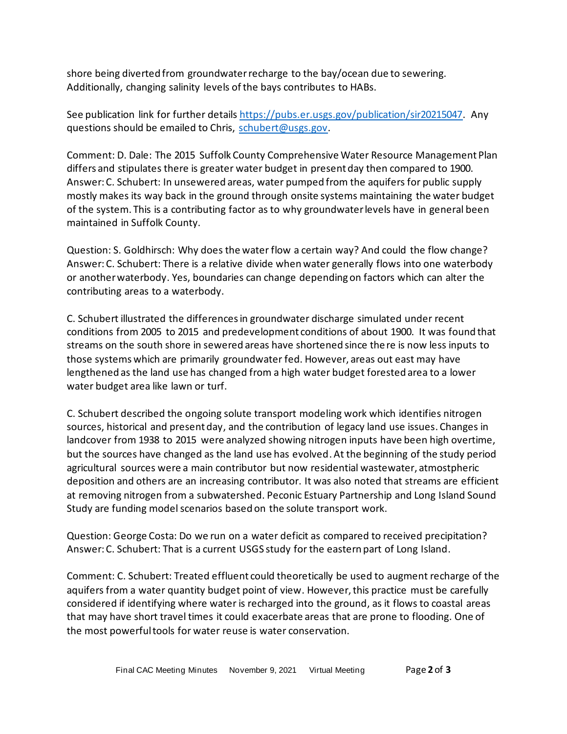shore being diverted from groundwaterrecharge to the bay/ocean due to sewering. Additionally, changing salinity levels of the bays contributes to HABs.

See publication link for further detail[s https://pubs.er.usgs.gov/publication/sir20215047.](https://pubs.er.usgs.gov/publication/sir20215047) Any questions should be emailed to Chris, [schubert@usgs.gov.](mailto:schubert@usgs.gov)

Comment: D. Dale: The 2015 Suffolk County Comprehensive Water Resource Management Plan differs and stipulates there is greater water budget in present day then compared to 1900. Answer: C. Schubert: In unsewered areas, water pumped from the aquifers for public supply mostly makes its way back in the ground through onsite systems maintaining the water budget of the system. This is a contributing factor as to why groundwater levels have in general been maintained in Suffolk County.

Question: S. Goldhirsch: Why does the water flow a certain way? And could the flow change? Answer: C. Schubert: There is a relative divide when water generally flows into one waterbody or another waterbody. Yes, boundaries can change depending on factors which can alter the contributing areas to a waterbody.

C. Schubert illustrated the differences in groundwater discharge simulated under recent conditions from 2005 to 2015 and predevelopment conditions of about 1900. It was found that streams on the south shore in sewered areas have shortened since there is now less inputs to those systems which are primarily groundwater fed. However, areas out east may have lengthened as the land use has changed from a high water budget forested area to a lower water budget area like lawn or turf.

C. Schubert described the ongoing solute transport modeling work which identifies nitrogen sources, historical and present day, and the contribution of legacy land use issues. Changes in landcover from 1938 to 2015 were analyzed showing nitrogen inputs have been high overtime, but the sources have changed as the land use has evolved. At the beginning of the study period agricultural sources were a main contributor but now residential wastewater, atmostpheric deposition and others are an increasing contributor. It was also noted that streams are efficient at removing nitrogen from a subwatershed. Peconic Estuary Partnership and Long Island Sound Study are funding model scenarios based on the solute transport work.

Question: George Costa: Do we run on a water deficit as compared to received precipitation? Answer: C. Schubert: That is a current USGS study for the eastern part of Long Island.

Comment: C. Schubert: Treated effluent could theoretically be used to augment recharge of the aquifers from a water quantity budget point of view. However, this practice must be carefully considered if identifying where water is recharged into the ground, as it flows to coastal areas that may have short travel times it could exacerbate areas that are prone to flooding. One of the most powerful tools for water reuse is water conservation.